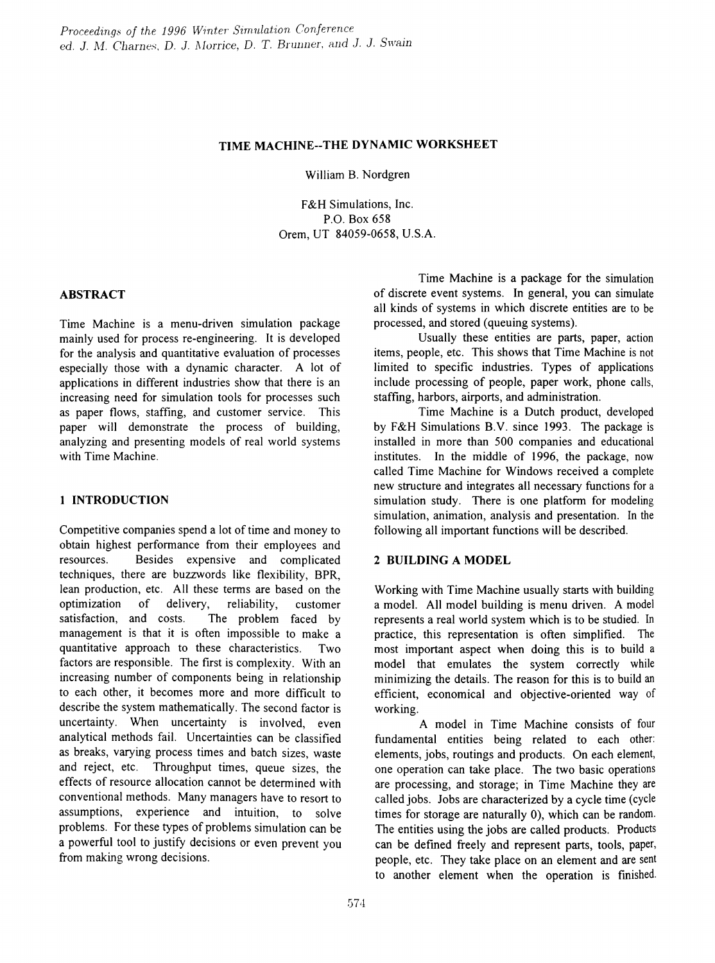#### TIME MACHINE--THE DYNAMIC WORKSHEET

William B. Nordgren

F&H Simulations, Inc. P.O. Box 658 Orem, UT 84059-0658, U.S.A.

### ABSTRACT

Time Machine is a menu-driven simulation package mainly used for process re-engineering. It is developed for the analysis and quantitative evaluation of processes especially those with a dynamic character. A lot of applications in different industries show that there is an increasing need for simulation tools for processes such as paper flows, staffing, and customer service. This paper will demonstrate the process of building, analyzing and presenting models of real world systems with Time Machine.

### 1 INTRODUCTION

Competitive companies spend a lot of time and money to obtain highest performance from their employees and resources. Besides expensive and complicated techniques, there are buzzwords like flexibility, BPR, lean production, etc. All these terms are based on the optimization of delivery, reliability, customer satisfaction, and costs. The problem faced by management is that it is often impossible to make a quantitative approach to these characteristics. Two factors are responsible. The first is complexity. With an increasing number of components being in relationship to each other, it becomes more and more difficult to describe the system mathematically. The second factor is uncertainty. When uncertainty is involved, even analytical methods fail. Uncertainties can be classified as breaks, varying process times and batch sizes, waste and reject, etc. Throughput times, queue sizes, the effects of resource allocation cannot be determined with conventional methods. Many managers have to resort to assumptions, experience and intuition, to solve problems. For these types of problems simulation can be a powerful tool to justify decisions or even prevent you from making wrong decisions.

Time Machine is a package for the simulation of discrete event systems. In general, you can simulate all kinds of systems in which discrete entities are to be processed, and stored (queuing systems).

Usually these entities are parts, paper, action items, people, etc. This shows that Time Machine is not limited to specific industries. Types of applications include processing of people, paper work, phone calls, staffing, harbors, airports, and administration.

Time Machine is a Dutch product, developed by F&H Simulations B.V. since 1993. The package is installed in more than 500 companies and educational institutes. In the middle of 1996, the package, now called Time Machine for Windows received a complete new structure and integrates all necessary functions for a simulation study. There is one platform for modeling simulation, animation, analysis and presentation. In the following all important functions will be described.

### 2 BUILDING A MODEL

Working with Time Machine usually starts with building a model. All model building is menu driven. A model represents a real world system which is to be studied. In practice, this representation is often simplified. The most important aspect when doing this is to build a model that emulates the system correctly while minimizing the details. The reason for this is to build an efficient, economical and objective-oriented way of working.

A model in Time Machine consists of four fundamental entities being related to each other: elements, jobs, routings and products. On each element, one operation can take place. The two basic operations are processing, and storage; in Time Machine they are called jobs. Jobs are characterized by a cycle time (cycle times for storage are naturally 0), which can be random. The entities using the jobs are called products. Products can be defmed freely and represent parts, tools, paper, people, etc. They take place on an element and are sent to another element when the operation is fmished.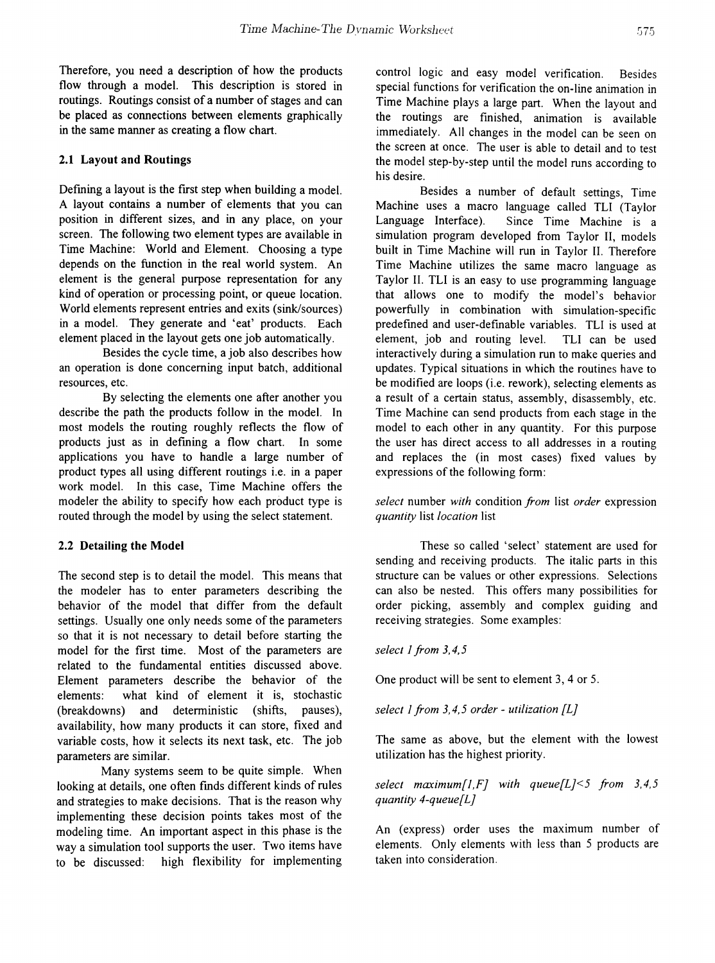Therefore, you need a description of how the products flow through a model. This description is stored in routings. Routings consist of a number of stages and can be placed as connections between elements graphically in the same manner as creating a flow chart.

### 2.1 Layout and Routings

Defining a layout is the first step when building a model. A layout contains a number of elements that you can position in different sizes, and in any place, on your screen. The following two element types are available in Time Machine: World and Element. Choosing a type depends on the function in the real world system. An element is the general purpose representation for any kind of operation or processing point, or queue location. World elements represent entries and exits (sink/sources) in a model. They generate and 'eat' products. Each element placed in the layout gets one job automatically.

Besides the cycle time, a job also describes how an operation is done concerning input batch, additional resources, etc.

By selecting the elements one after another you describe the path the products follow in the model. In most models the routing roughly reflects the flow of products just as in defming a flow chart. In some applications you have to handle a large number of product types all using different routings *i.e.* in a paper work model. In this case, Time Machine offers the modeler the ability to specify how each product type is routed through the model by using the select statement.

#### 2.2 Detailing the Model

The second step is to detail the model. This means that the modeler has to enter parameters describing the behavior of the model that differ from the default settings. Usually one only needs some of the parameters so that it is not necessary to detail before starting the model for the first time. Most of the parameters are related to the fundamental entities discussed above. Element parameters describe the behavior of the elements: what kind of element it is, stochastic (breakdowns) and deterministic (shifts, pauses), availability, how many products it can store, fixed and variable costs, how it selects its next task, etc. The job parameters are similar.

Many systems seem to be quite simple. When looking at details, one often fmds different kinds of rules and strategies to make decisions. That is the reason why implementing these decision points takes most of the modeling time. An important aspect in this phase is the way a simulation tool supports the user. Two items have to be discussed: high flexibility for implementing

control logic and easy model verification. Besides special functions for verification the on-line animation in Time Machine plays a large part. When the layout and the routings are fmished, animation is available immediately. All changes in the model can be seen on the screen at once. The user is able to detail and to test the model step-by-step until the model runs according to his desire.

Besides a number of default settings, Time Machine uses a macro language called TLI (Taylor Language Interface). Since Time Machine is a simulation program developed from Taylor II, models built in Time Machine will run in Taylor II. Therefore Time Machine utilizes the same macro language as Taylor II. TLI is an easy to use programming language that allows one to modify the model's behavior powerfully in combination with simulation-specific predefmed and user-defmable variables. TLI is used at element, job and routing level. TLI can be used interactively during a simulation run to make queries and updates. Typical situations in which the routines have to be modified are loops (i.e. rework), selecting elements as a result of a certain status, assembly, disassembly, etc. Time Machine can send products from each stage in the model to each other in any quantity. For this purpose the user has direct access to all addresses in a routing and replaces the (in most cases) fixed values by expressions of the following form:

*select* number *with* condition *from* list *order* expression *quantity* list *location* list

These so called 'select' statement are used for sending and receiving products. The italic parts in this structure can be values or other expressions. Selections can also be nested. This offers many possibilities for order picking, assembly and complex guiding and receiving strategies. Some examples:

*select* J*from 3,4,5*

One product will be sent to element 3, 4 or 5.

*select J from* 3,4,5 *order* - *utilization [L]*

The same as above, but the element with the lowest utilization has the highest priority.

*select maximum[J,F] with queue[L]<5 from 3,4,5 quantity 4-queue[L]*

An (express) order uses the maximum number of elements. Only elements with less than 5 products are taken into consideration.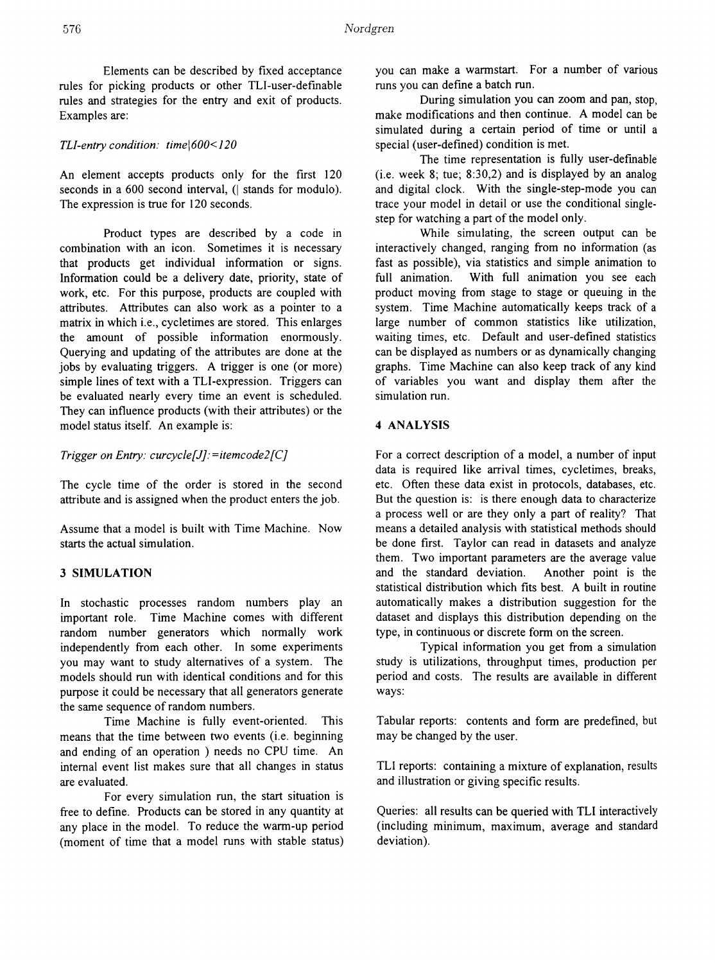Elements can be described by fixed acceptance rules for picking products or other TLI-user-defmable rules and strategies for the entry and exit of products. Examples are:

#### *TLl-entry condition: time\600<* J*20*

An element accepts products only for the first 120 seconds in a 600 second interval, (*I* stands for modulo). The expression is true for 120 seconds.

Product types are described by a code in combination with an icon. Sometimes it is necessary that products get individual information or signs. Information could be a delivery date, priority, state of work, etc. For this purpose, products are coupled with attributes. Attributes can also work as a pointer to a matrix in which i.e., cycletimes are stored. This enlarges the amount of possible information enormously. Querying and updating of the attributes are done at the jobs by evaluating triggers. A trigger is one (or more) simple lines of text with a TLI-expression. Triggers can be evaluated nearly every time an event is scheduled. They can influence products (with their attributes) or the model status itself. An example is:

### *Trigger on Entry: curcycle[J}:=itemcode2[C}*

The cycle time of the order is stored in the second attribute and is assigned when the product enters the job.

Assume that a model is built with Time Machine. Now starts the actual simulation.

### 3 SIMULATION

In stochastic processes random numbers play an important role. Time Machine comes with different random number generators which normally work independently from each other. In some experiments you may want to study alternatives of a system. The models should run with identical conditions and for this purpose it could be necessary that all generators generate the same sequence of random numbers.

Time Machine is fully event-oriented. This means that the time between two events (i.e. beginning and ending of an operation ) needs no CPU time. An internal event list makes sure that all changes in status are evaluated.

For every simulation run, the start situation is free to defme. Products can be stored in any quantity at any place in the model. To reduce the warm-up period (moment of time that a model runs with stable status) you can make a warmstart. For a number of various runs you can defme a batch run.

During simulation you can zoom and pan, stop, make modifications and then continue. A model can be simulated during a certain period of time or until a special (user-defmed) condition is met.

The time representation is fully user-defmable (i.e. week 8; tue;  $8:30,2$ ) and is displayed by an analog and digital clock. With the single-step-mode you can trace your model in detail or use the conditional singlestep for watching a part of the model only.

While simulating, the screen output can be interactively changed, ranging from no information (as fast as possible), via statistics and simple animation to full animation. With full animation you see each product moving from stage to stage or queuing in the system. Time Machine automatically keeps track of a large number of common statistics like utilization, waiting times, etc. Default and user-defmed statistics can be displayed as numbers or as dynamically changing graphs. Time Machine can also keep track of any kind of variables you want and display them after the simulation run.

### 4 ANALYSIS

For a correct description of a model, a number of input data is required like arrival times, cycletimes, breaks, etc. Often these data exist in protocols, databases, etc. But the question is: is there enough data to characterize a process well or are they only a part of reality? That means a detailed analysis with statistical methods should be done first. Taylor can read in datasets and analyze them. Two important parameters are the average value and the standard deviation. Another point is the statistical distribution which fits best. A built in routine automatically makes a distribution suggestion for the dataset and displays this distribution depending on the type, in continuous or discrete form on the screen.

Typical information you get from a simulation study is utilizations, throughput times, production per period and costs. The results are available in different ways:

Tabular reports: contents and form are predefmed, but may be changed by the user.

TLI reports: containing a mixture of explanation, results and illustration or giving specific results.

Queries: all results can be queried with TLI interactively (including minimum, maximum, average and standard deviation).